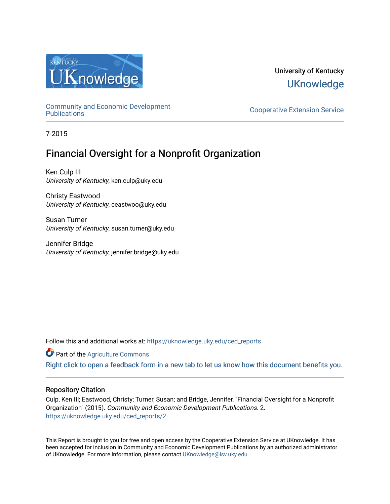

# University of Kentucky **UKnowledge**

[Community and Economic Development](https://uknowledge.uky.edu/ced_reports) 

**Cooperative Extension Service** 

7-2015

# Financial Oversight for a Nonprofit Organization

Ken Culp III University of Kentucky, ken.culp@uky.edu

Christy Eastwood University of Kentucky, ceastwoo@uky.edu

Susan Turner University of Kentucky, susan.turner@uky.edu

Jennifer Bridge University of Kentucky, jennifer.bridge@uky.edu

Follow this and additional works at: [https://uknowledge.uky.edu/ced\\_reports](https://uknowledge.uky.edu/ced_reports?utm_source=uknowledge.uky.edu%2Fced_reports%2F2&utm_medium=PDF&utm_campaign=PDFCoverPages)

**C** Part of the [Agriculture Commons](http://network.bepress.com/hgg/discipline/1076?utm_source=uknowledge.uky.edu%2Fced_reports%2F2&utm_medium=PDF&utm_campaign=PDFCoverPages)

[Right click to open a feedback form in a new tab to let us know how this document benefits you.](https://uky.az1.qualtrics.com/jfe/form/SV_9mq8fx2GnONRfz7)

#### Repository Citation

Culp, Ken III; Eastwood, Christy; Turner, Susan; and Bridge, Jennifer, "Financial Oversight for a Nonprofit Organization" (2015). Community and Economic Development Publications. 2. [https://uknowledge.uky.edu/ced\\_reports/2](https://uknowledge.uky.edu/ced_reports/2?utm_source=uknowledge.uky.edu%2Fced_reports%2F2&utm_medium=PDF&utm_campaign=PDFCoverPages) 

This Report is brought to you for free and open access by the Cooperative Extension Service at UKnowledge. It has been accepted for inclusion in Community and Economic Development Publications by an authorized administrator of UKnowledge. For more information, please contact [UKnowledge@lsv.uky.edu.](mailto:UKnowledge@lsv.uky.edu)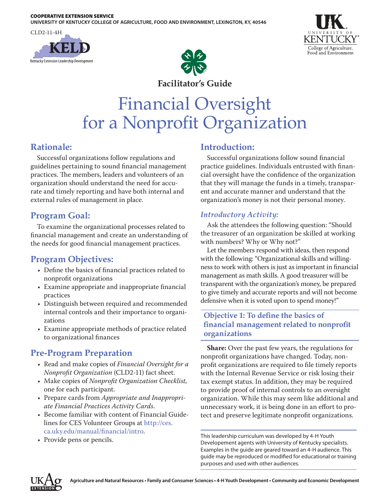#### COOPERATIVE EXTENSION SERVICE

**UNIVERSITY OF KENTUCKY COLLEGE OF AGRICULTURE, FOOD AND ENVIRONMENT, LEXINGTON, KY, 40546**







**Facilitator's Guide**

# Financial Oversight for a Nonprofit Organization

## **Rationale:**

Successful organizations follow regulations and guidelines pertaining to sound financial management practices. The members, leaders and volunteers of an organization should understand the need for accurate and timely reporting and have both internal and external rules of management in place.

## **Program Goal:**

To examine the organizational processes related to financial management and create an understanding of the needs for good financial management practices.

## **Program Objectives:**

- Define the basics of financial practices related to nonprofit organizations
- Examine appropriate and inappropriate financial practices
- Distinguish between required and recommended internal controls and their importance to organizations
- Examine appropriate methods of practice related to organizational finances

# **Pre-Program Preparation**

- Read and make copies of *Financial Oversight for a Nonprofit Organization* (CLD2-11) fact sheet.
- Make copies of *Nonprofit Organization Checklist,* one for each participant.
- Prepare cards from *Appropriate and Inappropriate Financial Practices Activity Cards*.
- Become familiar with content of Financial Guidelines for CES Volunteer Groups at [http://ces.](http://ces.ca.uky.edu/manual/financial/intro) [ca.uky.edu/manual/financial/intro](http://ces.ca.uky.edu/manual/financial/intro).
- Provide pens or pencils.

#### **Introduction:**

Successful organizations follow sound financial practice guidelines. Individuals entrusted with financial oversight have the confidence of the organization that they will manage the funds in a timely, transparent and accurate manner and understand that the organization's money is not their personal money.

#### *Introductory Activity:*

Ask the attendees the following question: "Should the treasurer of an organization be skilled at working with numbers? Why or Why not?"

Let the members respond with ideas, then respond with the following: "Organizational skills and willingness to work with others is just as important in financial management as math skills. A good treasurer will be transparent with the organization's money, be prepared to give timely and accurate reports and will not become defensive when it is voted upon to spend money!"

#### **Objective 1: To define the basics of financial management related to nonprofit organizations**

**Share:** Over the past few years, the regulations for nonprofit organizations have changed. Today, nonprofit organizations are required to file timely reports with the Internal Revenue Service or risk losing their tax exempt status. In addition, they may be required to provide proof of internal controls to an oversight organization. While this may seem like additional and unnecessary work, it is being done in an effort to protect and preserve legitimate nonprofit organizations.

This leadership curriculum was developed by 4-H Youth Developement agents with University of Kentucky specialists. Examples in the guide are geared toward an 4-H audience. This guide may be reproduced or modified for educational or training purposes and used with other audiences.

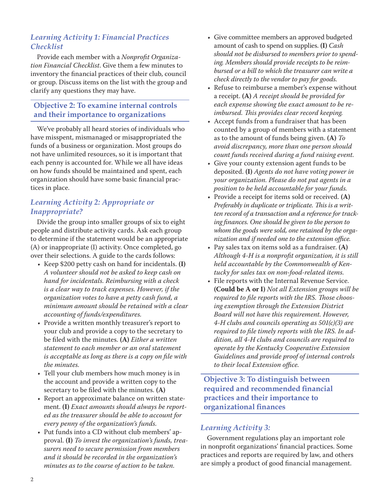#### *Learning Activity 1: Financial Practices Checklist*

Provide each member with a *Nonprofit Organization Financial Checklist*. Give them a few minutes to inventory the financial practices of their club, council or group. Discuss items on the list with the group and clarify any questions they may have.

#### **Objective 2: To examine internal controls and their importance to organizations**

We've probably all heard stories of individuals who have misspent, mismanaged or misappropriated the funds of a business or organization. Most groups do not have unlimited resources, so it is important that each penny is accounted for. While we all have ideas on how funds should be maintained and spent, each organization should have some basic financial practices in place.

#### *Learning Activity 2: Appropriate or Inappropriate?*

Divide the group into smaller groups of six to eight people and distribute activity cards. Ask each group to determine if the statement would be an appropriate (A) or inappropriate (I) activity. Once completed, go over their selections. A guide to the cards follows:

- Keep \$200 petty cash on hand for incidentals. **(I)** *A volunteer should not be asked to keep cash on hand for incidentals. Reimbursing with a check is a clear way to track expenses. However, if the organization votes to have a petty cash fund, a minimum amount should be retained with a clear accounting of funds/expenditures.*
- Provide a written monthly treasurer's report to your club and provide a copy to the secretary to be filed with the minutes. **(A)** *Either a written statement to each member or an oral statement is acceptable as long as there is a copy on file with the minutes.*
- Tell your club members how much money is in the account and provide a written copy to the secretary to be filed with the minutes. **(A)**
- Report an approximate balance on written statement. **(I)** *Exact amounts should always be reported as the treasurer should be able to account for every penny of the organization's funds.*
- Put funds into a CD without club members' approval. **(I)** *To invest the organization's funds, treasurers need to secure permission from members and it should be recorded in the organization's minutes as to the course of action to be taken.*
- Give committee members an approved budgeted amount of cash to spend on supplies. **(I)** *Cash should not be disbursed to members prior to spending. Members should provide receipts to be reimbursed or a bill to which the treasurer can write a check directly to the vendor to pay for goods.*
- Refuse to reimburse a member's expense without a receipt. **(A)** *A receipt should be provided for each expense showing the exact amount to be reimbursed. This provides clear record keeping.*
- Accept funds from a fundraiser that has been counted by a group of members with a statement as to the amount of funds being given. **(A)** *To avoid discrepancy, more than one person should count funds received during a fund raising event.*
- Give your county extension agent funds to be deposited. **(I)** *Agents do not have voting power in your organization. Please do not put agents in a position to be held accountable for your funds.*
- Provide a receipt for items sold or received. **(A)** *Preferably in duplicate or triplicate. This is a written record of a transaction and a reference for tracking finances. One should be given to the person to whom the goods were sold, one retained by the organization and if needed one to the extension office.*
- Pay sales tax on items sold as a fundraiser. **(A)** *Although 4-H is a nonprofit organization, it is still held accountable by the Commonwealth of Kentucky for sales tax on non-food-related items.*
- File reports with the Internal Revenue Service. **(Could be A or I)** *Not all Extension groups will be required to file reports with the IRS. Those choosing exemption through the Extension District Board will not have this requirement. However, 4-H clubs and councils operating as 501(c)(3) are required to file timely reports with the IRS. In addition, all 4-H clubs and councils are required to operate by the Kentucky Cooperative Extension Guidelines and provide proof of internal controls to their local Extension office.*

**Objective 3: To distinguish between required and recommended financial practices and their importance to organizational finances**

#### *Learning Activity 3:*

Government regulations play an important role in nonprofit organizations' financial practices. Some practices and reports are required by law, and others are simply a product of good financial management.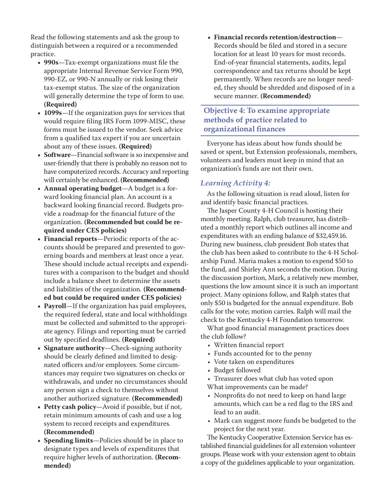Read the following statements and ask the group to distinguish between a required or a recommended practice.

- **• 990s**—Tax-exempt organizations must file the appropriate Internal Revenue Service Form 990, 990-EZ, or 990-N annually or risk losing their tax-exempt status. The size of the organization will generally determine the type of form to use. **(Required)**
- **• 1099s**—If the organization pays for services that would require filing IRS Form 1099-MISC, these forms must be issued to the vendor. Seek advice from a qualified tax expert if you are uncertain about any of these issues. **(Required)**
- **• Software**—Financial software is so inexpensive and user-friendly that there is probably no reason not to have computerized records. Accuracy and reporting will certainly be enhanced. **(Recommended)**
- **• Annual operating budget**—A budget is a forward looking financial plan. An account is a backward looking financial record. Budgets provide a roadmap for the financial future of the organization. **(Recommended but could be required under CES policies)**
- **• Financial reports**—Periodic reports of the accounts should be prepared and presented to governing boards and members at least once a year. These should include actual receipts and expenditures with a comparison to the budget and should include a balance sheet to determine the assets and liabilities of the organization. **(Recommended but could be required under CES policies)**
- **• Payroll**—If the organization has paid employees, the required federal, state and local withholdings must be collected and submitted to the appropriate agency. Filings and reporting must be carried out by specified deadlines. **(Required)**
- **• Signature authority**—Check-signing authority should be clearly defined and limited to designated officers and/or employees. Some circumstances may require two signatures on checks or withdrawals, and under no circumstances should any person sign a check to themselves without another authorized signature. **(Recommended)**
- **• Petty cash policy**—Avoid if possible, but if not, retain minimum amounts of cash and use a log system to record receipts and expenditures. **(Recommended)**
- **• Spending limits**—Policies should be in place to designate types and levels of expenditures that require higher levels of authorization. **(Recommended)**

**• Financial records retention/destruction**— Records should be filed and stored in a secure location for at least 10 years for most records. End-of-year financial statements, audits, legal correspondence and tax returns should be kept permanently. When records are no longer needed, they should be shredded and disposed of in a secure manner. **(Recommended)**

#### **Objective 4: To examine appropriate methods of practice related to organizational finances**

Everyone has ideas about how funds should be saved or spent, but Extension professionals, members, volunteers and leaders must keep in mind that an organization's funds are not their own.

#### *Learning Activity 4:*

As the following situation is read aloud, listen for and identify basic financial practices.

The Jasper County 4-H Council is hosting their monthly meeting. Ralph, club treasurer, has distributed a monthly report which outlines all income and expenditures with an ending balance of \$32,459.16. During new business, club president Bob states that the club has been asked to contribute to the 4-H Scholarship Fund. Maria makes a motion to expend \$50 to the fund, and Shirley Ann seconds the motion. During the discussion portion, Mark, a relatively new member, questions the low amount since it is such an important project. Many opinions follow, and Ralph states that only \$50 is budgeted for the annual expenditure. Bob calls for the vote; motion carries. Ralph will mail the check to the Kentucky 4-H Foundation tomorrow.

What good financial management practices does the club follow?

- Written financial report
- Funds accounted for to the penny
- Vote taken on expenditures
- Budget followed
- Treasurer does what club has voted upon
- What improvements can be made?
- Nonprofits do not need to keep on hand large amounts, which can be a red flag to the IRS and lead to an audit.
- Mark can suggest more funds be budgeted to the project for the next year.

The Kentucky Cooperative Extension Service has established financial guidelines for all extension volunteer groups. Please work with your extension agent to obtain a copy of the guidelines applicable to your organization.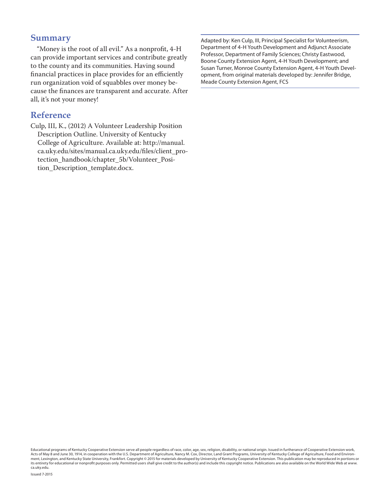#### **Summary**

"Money is the root of all evil." As a nonprofit, 4-H can provide important services and contribute greatly to the county and its communities. Having sound financial practices in place provides for an efficiently run organization void of squabbles over money because the finances are transparent and accurate. After all, it's not your money!

#### **Reference**

Culp, III, K., (2012) A Volunteer Leadership Position Description Outline. University of Kentucky College of Agriculture. Available at: http://manual. ca.uky.edu/sites/manual.ca.uky.edu/files/client\_protection\_handbook/chapter\_5b/Volunteer\_Position\_Description\_template.docx.

Adapted by: Ken Culp, III, Principal Specialist for Volunteerism, Department of 4-H Youth Development and Adjunct Associate Professor, Department of Family Sciences; Christy Eastwood, Boone County Extension Agent, 4-H Youth Development; and Susan Turner, Monroe County Extension Agent, 4-H Youth Development, from original materials developed by: Jennifer Bridge, Meade County Extension Agent, FCS

Educational programs of Kentucky Cooperative Extension serve all people regardless of race, color, age, sex, religion, disability, or national origin. Issued in furtherance of Cooperative Extension work, Acts of May 8 and June 30, 1914, in cooperation with the U.S. Department of Agriculture, Nancy M. Cox, Director, Land Grant Programs, University of Kentucky College of Agriculture, Food and Environ-<br>ment, Lexington, and K its entirety for educational or nonprofit purposes only. Permitted users shall give credit to the author(s) and include this copyright notice. Publications are also available on the World Wide Web at www. ca.uky.edu.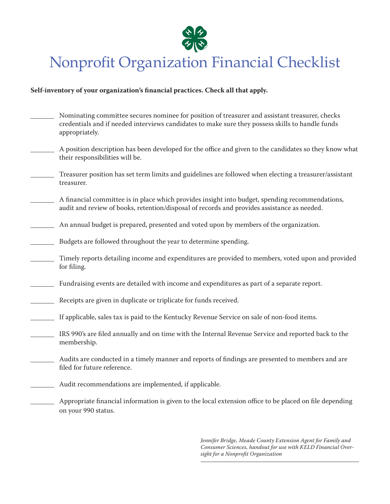

# Nonprofit Organization Financial Checklist

#### **Self-inventory of your organization's financial practices. Check all that apply.**

- Nominating committee secures nominee for position of treasurer and assistant treasurer, checks credentials and if needed interviews candidates to make sure they possess skills to handle funds appropriately.
- A position description has been developed for the office and given to the candidates so they know what their responsibilities will be.
- \_\_\_\_\_\_\_ Treasurer position has set term limits and guidelines are followed when electing a treasurer/assistant treasurer.
- \_\_\_\_\_\_\_ A financial committee is in place which provides insight into budget, spending recommendations, audit and review of books, retention/disposal of records and provides assistance as needed.
- An annual budget is prepared, presented and voted upon by members of the organization.
- Budgets are followed throughout the year to determine spending.
- \_\_\_\_\_\_\_ Timely reports detailing income and expenditures are provided to members, voted upon and provided for filing.
- Fundraising events are detailed with income and expenditures as part of a separate report.
- Receipts are given in duplicate or triplicate for funds received.
- If applicable, sales tax is paid to the Kentucky Revenue Service on sale of non-food items.
- IRS 990's are filed annually and on time with the Internal Revenue Service and reported back to the membership.
- Audits are conducted in a timely manner and reports of findings are presented to members and are filed for future reference.
- Audit recommendations are implemented, if applicable.
- Appropriate financial information is given to the local extension office to be placed on file depending on your 990 status.

*Jennifer Bridge, Meade County Extension Agent for Family and Consumer Sciences, handout for use with KELD Financial Oversight for a Nonprofit Organization*